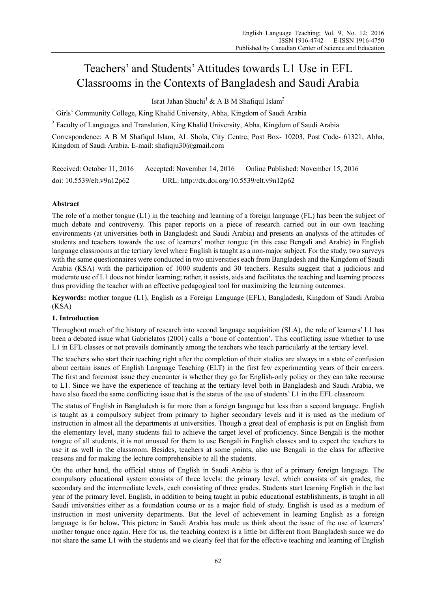# Teachers' and Students' Attitudes towards L1 Use in EFL Classrooms in the Contexts of Bangladesh and Saudi Arabia

Israt Jahan Shuchi<sup>1</sup> & A B M Shafiqul Islam<sup>2</sup>

<sup>1</sup> Girls' Community College, King Khalid University, Abha, Kingdom of Saudi Arabia

<sup>2</sup> Faculty of Languages and Translation, King Khalid University, Abha, Kingdom of Saudi Arabia

Correspondence: A B M Shafiqul Islam, AL Shola, City Centre, Post Box- 10203, Post Code- 61321, Abha, Kingdom of Saudi Arabia. E-mail: shafiqju30@gmail.com

| Received: October 11, 2016   | Accepted: November 14, 2016                 | Online Published: November 15, 2016 |
|------------------------------|---------------------------------------------|-------------------------------------|
| doi: $10.5539$ /elt.v9n12p62 | URL: http://dx.doi.org/10.5539/elt.v9n12p62 |                                     |

## **Abstract**

The role of a mother tongue (L1) in the teaching and learning of a foreign language (FL) has been the subject of much debate and controversy. This paper reports on a piece of research carried out in our own teaching environments (at universities both in Bangladesh and Saudi Arabia) and presents an analysis of the attitudes of students and teachers towards the use of learners' mother tongue (in this case Bengali and Arabic) in English language classrooms at the tertiary level where English is taught as a non-major subject. For the study, two surveys with the same questionnaires were conducted in two universities each from Bangladesh and the Kingdom of Saudi Arabia (KSA) with the participation of 1000 students and 30 teachers. Results suggest that a judicious and moderate use of L1 does not hinder learning; rather, it assists, aids and facilitates the teaching and learning process thus providing the teacher with an effective pedagogical tool for maximizing the learning outcomes.

**Keywords:** mother tongue (L1), English as a Foreign Language (EFL), Bangladesh, Kingdom of Saudi Arabia (KSA)

## **1. Introduction**

Throughout much of the history of research into second language acquisition (SLA), the role of learners' L1 has been a debated issue what Gabrielatos (2001) calls a 'bone of contention'. This conflicting issue whether to use L1 in EFL classes or not prevails dominantly among the teachers who teach particularly at the tertiary level.

The teachers who start their teaching right after the completion of their studies are always in a state of confusion about certain issues of English Language Teaching (ELT) in the first few experimenting years of their careers. The first and foremost issue they encounter is whether they go for English-only policy or they can take recourse to L1. Since we have the experience of teaching at the tertiary level both in Bangladesh and Saudi Arabia, we have also faced the same conflicting issue that is the status of the use of students' L1 in the EFL classroom.

The status of English in Bangladesh is far more than a foreign language but less than a second language. English is taught as a compulsory subject from primary to higher secondary levels and it is used as the medium of instruction in almost all the departments at universities. Though a great deal of emphasis is put on English from the elementary level, many students fail to achieve the target level of proficiency. Since Bengali is the mother tongue of all students, it is not unusual for them to use Bengali in English classes and to expect the teachers to use it as well in the classroom. Besides, teachers at some points, also use Bengali in the class for affective reasons and for making the lecture comprehensible to all the students.

On the other hand, the official status of English in Saudi Arabia is that of a primary foreign language. The compulsory educational system consists of three levels: the primary level, which consists of six grades; the secondary and the intermediate levels, each consisting of three grades. Students start learning English in the last year of the primary level. English, in addition to being taught in pubic educational establishments, is taught in all Saudi universities either as a foundation course or as a major field of study. English is used as a medium of instruction in most university departments. But the level of achievement in learning English as a foreign language is far below. This picture in Saudi Arabia has made us think about the issue of the use of learners' mother tongue once again. Here for us, the teaching context is a little bit different from Bangladesh since we do not share the same L1 with the students and we clearly feel that for the effective teaching and learning of English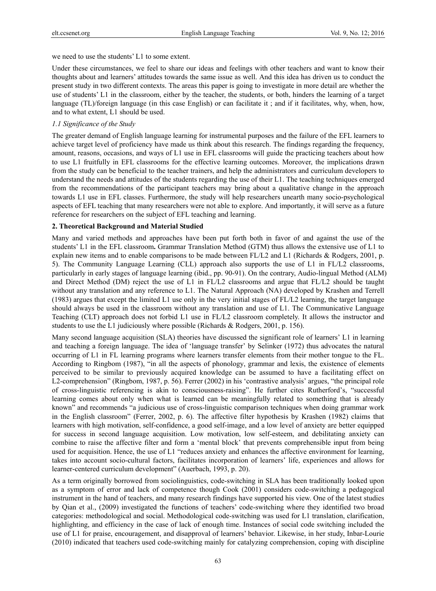we need to use the students' L1 to some extent.

Under these circumstances, we feel to share our ideas and feelings with other teachers and want to know their thoughts about and learners' attitudes towards the same issue as well. And this idea has driven us to conduct the present study in two different contexts. The areas this paper is going to investigate in more detail are whether the use of students' L1 in the classroom, either by the teacher, the students, or both, hinders the learning of a target language (TL)/foreign language (in this case English) or can facilitate it ; and if it facilitates, why, when, how, and to what extent, L1 should be used.

## *1.1 Significance of the Study*

The greater demand of English language learning for instrumental purposes and the failure of the EFL learners to achieve target level of proficiency have made us think about this research. The findings regarding the frequency, amount, reasons, occasions, and ways of L1 use in EFL classrooms will guide the practicing teachers about how to use L1 fruitfully in EFL classrooms for the effective learning outcomes. Moreover, the implications drawn from the study can be beneficial to the teacher trainers, and help the administrators and curriculum developers to understand the needs and attitudes of the students regarding the use of their L1. The teaching techniques emerged from the recommendations of the participant teachers may bring about a qualitative change in the approach towards L1 use in EFL classes. Furthermore, the study will help researchers unearth many socio-psychological aspects of EFL teaching that many researchers were not able to explore. And importantly, it will serve as a future reference for researchers on the subject of EFL teaching and learning.

## **2. Theoretical Background and Material Studied**

Many and varied methods and approaches have been put forth both in favor of and against the use of the students' L1 in the EFL classroom**.** Grammar Translation Method (GTM) thus allows the extensive use of L1 to explain new items and to enable comparisons to be made between FL/L2 and L1 (Richards & Rodgers, 2001, p. 5). The Community Language Learning (CLL) approach also supports the use of L1 in FL/L2 classrooms, particularly in early stages of language learning (ibid., pp. 90-91). On the contrary, Audio-lingual Method (ALM) and Direct Method (DM) reject the use of L1 in FL/L2 classrooms and argue that FL/L2 should be taught without any translation and any reference to L1. The Natural Approach (NA) developed by Krashen and Terrell (1983) argues that except the limited L1 use only in the very initial stages of FL/L2 learning, the target language should always be used in the classroom without any translation and use of L1. The Communicative Language Teaching (CLT) approach does not forbid L1 use in FL/L2 classroom completely. It allows the instructor and students to use the L1 judiciously where possible (Richards & Rodgers, 2001, p. 156).

Many second language acquisition (SLA) theories have discussed the significant role of learners' L1 in learning and teaching a foreign language. The idea of 'language transfer' by Selinker (1972) thus advocates the natural occurring of L1 in FL learning programs where learners transfer elements from their mother tongue to the FL. According to Ringbom (1987), "in all the aspects of phonology, grammar and lexis, the existence of elements perceived to be similar to previously acquired knowledge can be assumed to have a facilitating effect on L2-comprehension" (Ringbom, 1987, p. 56). Ferrer (2002) in his 'contrastive analysis' argues, "the principal role of cross-linguistic referencing is akin to consciousness-raising". He further cites Rutherford's, "successful learning comes about only when what is learned can be meaningfully related to something that is already known" and recommends "a judicious use of cross-linguistic comparison techniques when doing grammar work in the English classroom" (Ferrer, 2002, p. 6). The affective filter hypothesis by Krashen (1982) claims that learners with high motivation, self-confidence, a good self-image, and a low level of anxiety are better equipped for success in second language acquisition. Low motivation, low self-esteem, and debilitating anxiety can combine to raise the affective filter and form a 'mental block' that prevents comprehensible input from being used for acquisition. Hence, the use of L1 "reduces anxiety and enhances the affective environment for learning, takes into account socio-cultural factors, facilitates incorporation of learners' life, experiences and allows for learner-centered curriculum development" (Auerbach, 1993, p. 20).

As a term originally borrowed from sociolinguistics, code-switching in SLA has been traditionally looked upon as a symptom of error and lack of competence though Cook (2001) considers code-switching a pedagogical instrument in the hand of teachers, and many research findings have supported his view. One of the latest studies by Qian et al., (2009) investigated the functions of teachers' code-switching where they identified two broad categories: methodological and social. Methodological code-switching was used for L1 translation, clarification, highlighting, and efficiency in the case of lack of enough time. Instances of social code switching included the use of L1 for praise, encouragement, and disapproval of learners' behavior. Likewise, in her study, Inbar-Lourie (2010) indicated that teachers used code-switching mainly for catalyzing comprehension, coping with discipline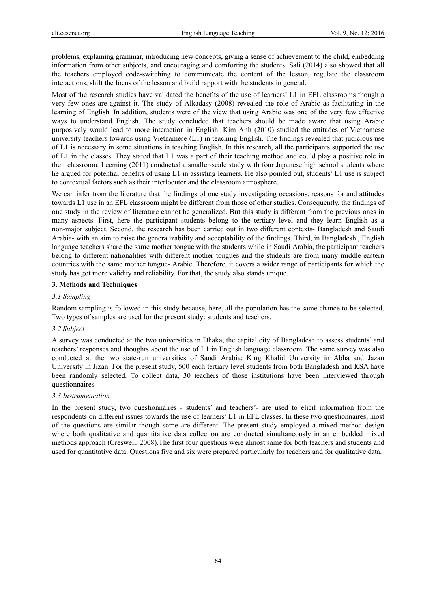problems, explaining grammar, introducing new concepts, giving a sense of achievement to the child, embedding information from other subjects, and encouraging and comforting the students. Sali (2014) also showed that all the teachers employed code-switching to communicate the content of the lesson, regulate the classroom interactions, shift the focus of the lesson and build rapport with the students in general.

Most of the research studies have validated the benefits of the use of learners' L1 in EFL classrooms though a very few ones are against it. The study of Alkadasy (2008) revealed the role of Arabic as facilitating in the learning of English. In addition, students were of the view that using Arabic was one of the very few effective ways to understand English. The study concluded that teachers should be made aware that using Arabic purposively would lead to more interaction in English. Kim Anh (2010) studied the attitudes of Vietnamese university teachers towards using Vietnamese (L1) in teaching English. The findings revealed that judicious use of L1 is necessary in some situations in teaching English. In this research, all the participants supported the use of L1 in the classes. They stated that L1 was a part of their teaching method and could play a positive role in their classroom. Leeming (2011) conducted a smaller-scale study with four Japanese high school students where he argued for potential benefits of using L1 in assisting learners. He also pointed out, students' L1 use is subject to contextual factors such as their interlocutor and the classroom atmosphere.

We can infer from the literature that the findings of one study investigating occasions, reasons for and attitudes towards L1 use in an EFL classroom might be different from those of other studies. Consequently, the findings of one study in the review of literature cannot be generalized. But this study is different from the previous ones in many aspects. First, here the participant students belong to the tertiary level and they learn English as a non-major subject. Second, the research has been carried out in two different contexts- Bangladesh and Saudi Arabia- with an aim to raise the generalizability and acceptability of the findings. Third, in Bangladesh , English language teachers share the same mother tongue with the students while in Saudi Arabia, the participant teachers belong to different nationalities with different mother tongues and the students are from many middle-eastern countries with the same mother tongue- Arabic. Therefore, it covers a wider range of participants for which the study has got more validity and reliability. For that, the study also stands unique.

## **3. Methods and Techniques**

### *3.1 Sampling*

Random sampling is followed in this study because, here, all the population has the same chance to be selected. Two types of samples are used for the present study: students and teachers.

#### *3.2 Subject*

A survey was conducted at the two universities in Dhaka, the capital city of Bangladesh to assess students' and teachers' responses and thoughts about the use of L1 in English language classroom. The same survey was also conducted at the two state-run universities of Saudi Arabia: King Khalid University in Abha and Jazan University in Jizan. For the present study, 500 each tertiary level students from both Bangladesh and KSA have been randomly selected. To collect data, 30 teachers of those institutions have been interviewed through questionnaires.

#### *3.3 Instrumentation*

In the present study, two questionnaires - students' and teachers'- are used to elicit information from the respondents on different issues towards the use of learners' L1 in EFL classes. In these two questionnaires, most of the questions are similar though some are different. The present study employed a mixed method design where both qualitative and quantitative data collection are conducted simultaneously in an embedded mixed methods approach (Creswell, 2008).The first four questions were almost same for both teachers and students and used for quantitative data. Questions five and six were prepared particularly for teachers and for qualitative data.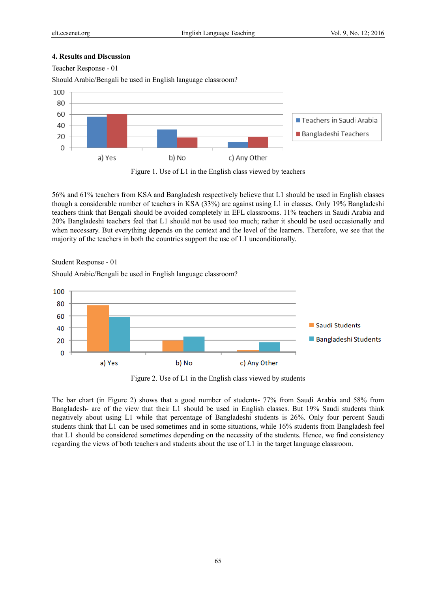## **4. Results and Discussion**



Should Arabic/Bengali be used in English language classroom?



Figure 1. Use of L1 in the English class viewed by teachers

56% and 61% teachers from KSA and Bangladesh respectively believe that L1 should be used in English classes though a considerable number of teachers in KSA (33%) are against using L1 in classes. Only 19% Bangladeshi teachers think that Bengali should be avoided completely in EFL classrooms. 11% teachers in Saudi Arabia and 20% Bangladeshi teachers feel that L1 should not be used too much; rather it should be used occasionally and when necessary. But everything depends on the context and the level of the learners. Therefore, we see that the majority of the teachers in both the countries support the use of L1 unconditionally.

Student Response - 01

Should Arabic/Bengali be used in English language classroom?



Figure 2. Use of L1 in the English class viewed by students

The bar chart (in Figure 2) shows that a good number of students- 77% from Saudi Arabia and 58% from Bangladesh- are of the view that their L1 should be used in English classes. But 19% Saudi students think negatively about using L1 while that percentage of Bangladeshi students is 26%. Only four percent Saudi students think that L1 can be used sometimes and in some situations, while 16% students from Bangladesh feel that L1 should be considered sometimes depending on the necessity of the students. Hence, we find consistency regarding the views of both teachers and students about the use of L1 in the target language classroom.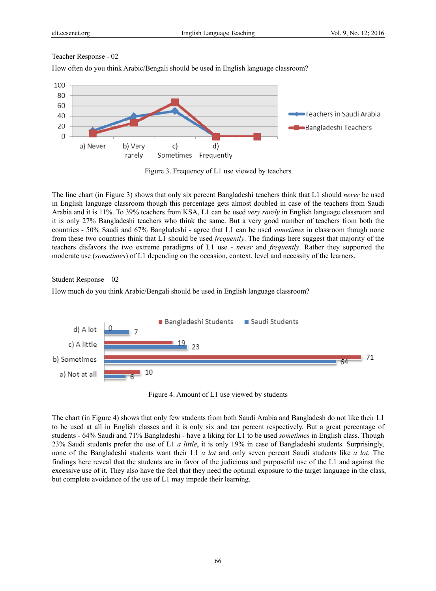How often do you think Arabic/Bengali should be used in English language classroom?



Figure 3. Frequency of L1 use viewed by teachers

The line chart (in Figure 3) shows that only six percent Bangladeshi teachers think that L1 should *never* be used in English language classroom though this percentage gets almost doubled in case of the teachers from Saudi Arabia and it is 11%. To 39% teachers from KSA, L1 can be used *very rarely* in English language classroom and it is only 27% Bangladeshi teachers who think the same. But a very good number of teachers from both the countries - 50% Saudi and 67% Bangladeshi - agree that L1 can be used *sometimes* in classroom though none from these two countries think that L1 should be used *frequently*. The findings here suggest that majority of the teachers disfavors the two extreme paradigms of L1 use - *never* and *frequently*. Rather they supported the moderate use (*sometimes*) of L1 depending on the occasion, context, level and necessity of the learners.

Student Response – 02

How much do you think Arabic/Bengali should be used in English language classroom?



Figure 4. Amount of L1 use viewed by students

The chart (in Figure 4) shows that only few students from both Saudi Arabia and Bangladesh do not like their L1 to be used at all in English classes and it is only six and ten percent respectively. But a great percentage of students - 64% Saudi and 71% Bangladeshi - have a liking for L1 to be used *sometimes* in English class. Though 23% Saudi students prefer the use of L1 *a little*, it is only 19% in case of Bangladeshi students. Surprisingly, none of the Bangladeshi students want their L1 *a lot* and only seven percent Saudi students like *a lot.* The findings here reveal that the students are in favor of the judicious and purposeful use of the L1 and against the excessive use of it. They also have the feel that they need the optimal exposure to the target language in the class, but complete avoidance of the use of L1 may impede their learning.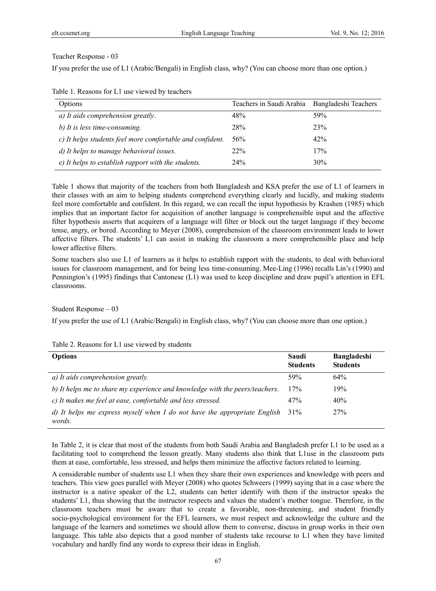If you prefer the use of L1 (Arabic/Bengali) in English class, why? (You can choose more than one option.)

| Options                                                   | Teachers in Saudi Arabia Bangladeshi Teachers |     |
|-----------------------------------------------------------|-----------------------------------------------|-----|
| a) It aids comprehension greatly.                         | 48%                                           | 59% |
| b) It is less time-consuming.                             | 28%                                           | 23% |
| c) It helps students feel more comfortable and confident. | 56%                                           | 42% |
| d) It helps to manage behavioral issues.                  | 22%                                           | 17% |
| e) It helps to establish rapport with the students.       | 24%                                           | 30% |

Table 1. Reasons for L1 use viewed by teachers

Table 1 shows that majority of the teachers from both Bangladesh and KSA prefer the use of L1 of learners in their classes with an aim to helping students comprehend everything clearly and lucidly, and making students feel more comfortable and confident. In this regard, we can recall the input hypothesis by Krashen (1985) which implies that an important factor for acquisition of another language is comprehensible input and the affective filter hypothesis asserts that acquirers of a language will filter or block out the target language if they become tense, angry, or bored. According to Meyer (2008), comprehension of the classroom environment leads to lower affective filters. The students' L1 can assist in making the classroom a more comprehensible place and help lower affective filters.

Some teachers also use L1 of learners as it helps to establish rapport with the students, to deal with behavioral issues for classroom management, and for being less time-consuming. Mee-Ling (1996) recalls Lin's (1990) and Pennington's (1995) findings that Cantonese (L1) was used to keep discipline and draw pupil's attention in EFL classrooms.

Student Response – 03

If you prefer the use of L1 (Arabic/Bengali) in English class, why? (You can choose more than one option.)

| Table 2. Reasons for L1 use viewed by students |  |  |  |
|------------------------------------------------|--|--|--|
|                                                |  |  |  |

| <b>Options</b>                                                                     | Saudi<br><b>Students</b> | <b>Bangladeshi</b><br><b>Students</b> |
|------------------------------------------------------------------------------------|--------------------------|---------------------------------------|
| a) It aids comprehension greatly.                                                  | 59%                      | 64%                                   |
| b) It helps me to share my experience and knowledge with the peers/teachers.       | 17%                      | 19%                                   |
| c) It makes me feel at ease, comfortable and less stressed.                        | 47%                      | 40%                                   |
| d) It helps me express myself when I do not have the appropriate English<br>words. | 31%                      | 27%                                   |

In Table 2, it is clear that most of the students from both Saudi Arabia and Bangladesh prefer L1 to be used as a facilitating tool to comprehend the lesson greatly. Many students also think that L1use in the classroom puts them at ease, comfortable, less stressed, and helps them minimize the affective factors related to learning.

A considerable number of students use L1 when they share their own experiences and knowledge with peers and teachers. This view goes parallel with Meyer (2008) who quotes Schweers (1999) saying that in a case where the instructor is a native speaker of the L2, students can better identify with them if the instructor speaks the students' L1, thus showing that the instructor respects and values the student's mother tongue. Therefore, in the classroom teachers must be aware that to create a favorable, non-threatening, and student friendly socio-psychological environment for the EFL learners, we must respect and acknowledge the culture and the language of the learners and sometimes we should allow them to converse, discuss in group works in their own language. This table also depicts that a good number of students take recourse to L1 when they have limited vocabulary and hardly find any words to express their ideas in English.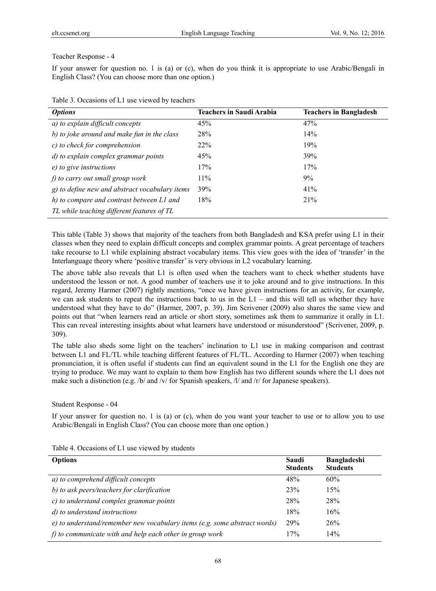If your answer for question no. 1 is (a) or (c), when do you think it is appropriate to use Arabic/Bengali in English Class? (You can choose more than one option.)

| <b>Options</b>                                 | <b>Teachers in Saudi Arabia</b> | <b>Teachers in Bangladesh</b> |
|------------------------------------------------|---------------------------------|-------------------------------|
| a) to explain difficult concepts               | 45%                             | 47%                           |
| b) to joke around and make fun in the class    | 28%                             | 14%                           |
| c) to check for comprehension                  | 22%                             | 19%                           |
| d) to explain complex grammar points           | 45%                             | <b>39%</b>                    |
| e) to give instructions                        | 17%                             | 17%                           |
| f) to carry out small group work               | $11\%$                          | 9%                            |
| g) to define new and abstract vocabulary items | 39%                             | 41%                           |
| h) to compare and contrast between L1 and      | 18%                             | 21%                           |
| TL while teaching different features of TL     |                                 |                               |

Table 3. Occasions of L1 use viewed by teachers

This table (Table 3) shows that majority of the teachers from both Bangladesh and KSA prefer using L1 in their classes when they need to explain difficult concepts and complex grammar points. A great percentage of teachers take recourse to L1 while explaining abstract vocabulary items. This view goes with the idea of 'transfer' in the Interlanguage theory where 'positive transfer' is very obvious in L2 vocabulary learning.

The above table also reveals that L1 is often used when the teachers want to check whether students have understood the lesson or not. A good number of teachers use it to joke around and to give instructions. In this regard, Jeremy Harmer (2007) rightly mentions, "once we have given instructions for an activity, for example, we can ask students to repeat the instructions back to us in the  $L1$  – and this will tell us whether they have understood what they have to do" (Harmer, 2007, p. 39). Jim Scrivener (2009) also shares the same view and points out that "when learners read an article or short story, sometimes ask them to summarize it orally in L1. This can reveal interesting insights about what learners have understood or misunderstood" (Scrivener, 2009, p. 309).

The table also sheds some light on the teachers' inclination to L1 use in making comparison and contrast between L1 and FL/TL while teaching different features of FL/TL. According to Harmer (2007) when teaching pronunciation, it is often useful if students can find an equivalent sound in the L1 for the English one they are trying to produce. We may want to explain to them how English has two different sounds where the L1 does not make such a distinction (e.g. /b/ and /v/ for Spanish speakers, /l/ and /r/ for Japanese speakers).

#### Student Response - 04

If your answer for question no. 1 is (a) or (c), when do you want your teacher to use or to allow you to use Arabic/Bengali in English Class? (You can choose more than one option.)

|  |  |  |  | Table 4. Occasions of L1 use viewed by students |  |
|--|--|--|--|-------------------------------------------------|--|
|--|--|--|--|-------------------------------------------------|--|

| <b>Options</b>                                                               | Saudi<br><b>Students</b> | <b>Bangladeshi</b><br><b>Students</b> |
|------------------------------------------------------------------------------|--------------------------|---------------------------------------|
| a) to comprehend difficult concepts                                          | 48%                      | 60%                                   |
| b) to ask peers/teachers for clarification                                   | 23%                      | 15%                                   |
| c) to understand complex grammar points                                      | 28%                      | 28%                                   |
| d) to understand instructions                                                | 18%                      | 16%                                   |
| $e$ ) to understand/remember new vocabulary items (e.g. some abstract words) | <b>29%</b>               | 26%                                   |
| $f$ to communicate with and help each other in group work                    | 17%                      | 14%                                   |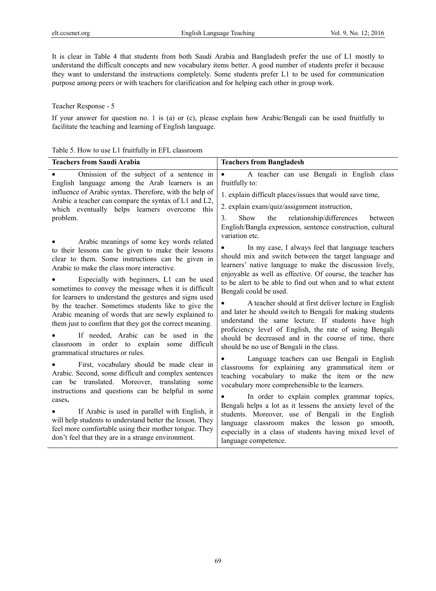It is clear in Table 4 that students from both Saudi Arabia and Bangladesh prefer the use of L1 mostly to understand the difficult concepts and new vocabulary items better. A good number of students prefer it because they want to understand the instructions completely. Some students prefer L1 to be used for communication purpose among peers or with teachers for clarification and for helping each other in group work.

## Teacher Response - 5

If your answer for question no. 1 is (a) or (c), please explain how Arabic/Bengali can be used fruitfully to facilitate the teaching and learning of English language.

|                                                                                                                                                                                                                                                                                                                                                                                                                                                                                                                                                                                                                                                                                                                                                                                                                                                                                                                       | <b>Teachers from Bangladesh</b>                                                                                                                                                                                                                                                                                                                                                                                                                                                                                                                                                                                                                                                                                                                                                                                                                                                                                                                         |
|-----------------------------------------------------------------------------------------------------------------------------------------------------------------------------------------------------------------------------------------------------------------------------------------------------------------------------------------------------------------------------------------------------------------------------------------------------------------------------------------------------------------------------------------------------------------------------------------------------------------------------------------------------------------------------------------------------------------------------------------------------------------------------------------------------------------------------------------------------------------------------------------------------------------------|---------------------------------------------------------------------------------------------------------------------------------------------------------------------------------------------------------------------------------------------------------------------------------------------------------------------------------------------------------------------------------------------------------------------------------------------------------------------------------------------------------------------------------------------------------------------------------------------------------------------------------------------------------------------------------------------------------------------------------------------------------------------------------------------------------------------------------------------------------------------------------------------------------------------------------------------------------|
| <b>Teachers from Saudi Arabia</b><br>Omission of the subject of a sentence in<br>English language among the Arab learners is an<br>influence of Arabic syntax. Therefore, with the help of<br>Arabic a teacher can compare the syntax of L1 and L2,<br>which eventually helps learners overcome this<br>problem.<br>Arabic meanings of some key words related<br>to their lessons can be given to make their lessons<br>clear to them. Some instructions can be given in<br>Arabic to make the class more interactive.                                                                                                                                                                                                                                                                                                                                                                                                | A teacher can use Bengali in English class<br>$\bullet$<br>fruitfully to:<br>1. explain difficult places/issues that would save time,<br>2. explain exam/quiz/assignment instruction,<br>relationship/differences<br>$\mathcal{E}$<br><b>Show</b><br>the<br>between<br>English/Bangla expression, sentence construction, cultural<br>variation etc.<br>In my case, I always feel that language teachers<br>should mix and switch between the target language and<br>learners' native language to make the discussion lively,<br>enjoyable as well as effective. Of course, the teacher has                                                                                                                                                                                                                                                                                                                                                              |
| Especially with beginners, L1 can be used<br>sometimes to convey the message when it is difficult<br>for learners to understand the gestures and signs used<br>by the teacher. Sometimes students like to give the<br>Arabic meaning of words that are newly explained to<br>them just to confirm that they got the correct meaning.<br>If needed, Arabic can be used in the<br>classroom in order to explain some<br>difficult<br>grammatical structures or rules.<br>First, vocabulary should be made clear in<br>Arabic. Second, some difficult and complex sentences<br>can be translated. Moreover, translating some<br>instructions and questions can be helpful in some<br>cases.<br>If Arabic is used in parallel with English, it<br>will help students to understand better the lesson. They<br>feel more comfortable using their mother tongue. They<br>don't feel that they are in a strange environment. | to be alert to be able to find out when and to what extent<br>Bengali could be used.<br>A teacher should at first deliver lecture in English<br>and later he should switch to Bengali for making students<br>understand the same lecture. If students have high<br>proficiency level of English, the rate of using Bengali<br>should be decreased and in the course of time, there<br>should be no use of Bengali in the class.<br>Language teachers can use Bengali in English<br>classrooms for explaining any grammatical item or<br>teaching vocabulary to make the item or the new<br>vocabulary more comprehensible to the learners.<br>In order to explain complex grammar topics,<br>Bengali helps a lot as it lessens the anxiety level of the<br>students. Moreover, use of Bengali in the English<br>classroom makes the lesson go<br>language<br>smooth,<br>especially in a class of students having mixed level of<br>language competence. |

### Table 5. How to use L1 fruitfully in EFL classroom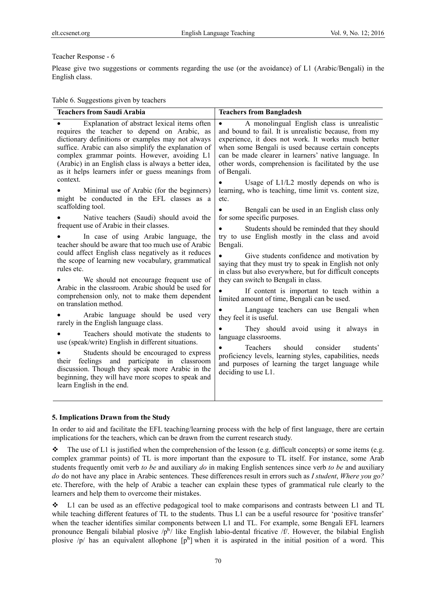Please give two suggestions or comments regarding the use (or the avoidance) of L1 (Arabic/Bengali) in the English class.

Table 6. Suggestions given by teachers

| Explanation of abstract lexical items often<br>$\bullet$<br>requires the teacher to depend on Arabic, as<br>dictionary definitions or examples may not always<br>suffice. Arabic can also simplify the explanation of<br>complex grammar points. However, avoiding L1<br>(Arabic) in an English class is always a better idea,<br>as it helps learners infer or guess meanings from<br>of Bengali.<br>context.<br>Minimal use of Arabic (for the beginners)<br>might be conducted in the EFL classes as a<br>etc.<br>scaffolding tool.<br>Native teachers (Saudi) should avoid the<br>for some specific purposes.<br>frequent use of Arabic in their classes.<br>In case of using Arabic language, the<br>teacher should be aware that too much use of Arabic<br>Bengali.<br>could affect English class negatively as it reduces<br>the scope of learning new vocabulary, grammatical<br>rules etc.<br>We should not encourage frequent use of | A monolingual English class is unrealistic<br>and bound to fail. It is unrealistic because, from my<br>experience, it does not work. It works much better<br>when some Bengali is used because certain concepts                                                                                                                                                                                                                                                                                                                                                                                                                                                                                  |
|------------------------------------------------------------------------------------------------------------------------------------------------------------------------------------------------------------------------------------------------------------------------------------------------------------------------------------------------------------------------------------------------------------------------------------------------------------------------------------------------------------------------------------------------------------------------------------------------------------------------------------------------------------------------------------------------------------------------------------------------------------------------------------------------------------------------------------------------------------------------------------------------------------------------------------------------|--------------------------------------------------------------------------------------------------------------------------------------------------------------------------------------------------------------------------------------------------------------------------------------------------------------------------------------------------------------------------------------------------------------------------------------------------------------------------------------------------------------------------------------------------------------------------------------------------------------------------------------------------------------------------------------------------|
|                                                                                                                                                                                                                                                                                                                                                                                                                                                                                                                                                                                                                                                                                                                                                                                                                                                                                                                                                | can be made clearer in learners' native language. In<br>other words, comprehension is facilitated by the use                                                                                                                                                                                                                                                                                                                                                                                                                                                                                                                                                                                     |
|                                                                                                                                                                                                                                                                                                                                                                                                                                                                                                                                                                                                                                                                                                                                                                                                                                                                                                                                                | Usage of L1/L2 mostly depends on who is<br>learning, who is teaching, time limit vs. content size,                                                                                                                                                                                                                                                                                                                                                                                                                                                                                                                                                                                               |
| Arabic in the classroom. Arabic should be used for<br>comprehension only, not to make them dependent<br>on translation method.<br>Arabic language should be used very<br>they feel it is useful.<br>rarely in the English language class.<br>Teachers should motivate the students to<br>language classrooms.<br>use (speak/write) English in different situations.<br><b>Teachers</b><br>Students should be encouraged to express<br>feelings and participate in classroom<br>their<br>discussion. Though they speak more Arabic in the<br>deciding to use $L1$ .<br>beginning, they will have more scopes to speak and<br>learn English in the end.                                                                                                                                                                                                                                                                                          | Bengali can be used in an English class only<br>Students should be reminded that they should<br>try to use English mostly in the class and avoid<br>Give students confidence and motivation by<br>saying that they must try to speak in English not only<br>in class but also everywhere, but for difficult concepts<br>they can switch to Bengali in class.<br>If content is important to teach within a<br>limited amount of time, Bengali can be used.<br>Language teachers can use Bengali when<br>They should avoid using it always in<br>should<br>consider<br>students'<br>proficiency levels, learning styles, capabilities, needs<br>and purposes of learning the target language while |

#### **5. Implications Drawn from the Study**

In order to aid and facilitate the EFL teaching/learning process with the help of first language, there are certain implications for the teachers, which can be drawn from the current research study.

 $\bullet$  The use of L1 is justified when the comprehension of the lesson (e.g. difficult concepts) or some items (e.g. complex grammar points) of TL is more important than the exposure to TL itself. For instance, some Arab students frequently omit verb *to be* and auxiliary *do* in making English sentences since verb *to be* and auxiliary *do* do not have any place in Arabic sentences. These differences result in errors such as *I student*, *Where you go?*  etc. Therefore, with the help of Arabic a teacher can explain these types of grammatical rule clearly to the learners and help them to overcome their mistakes.

 L1 can be used as an effective pedagogical tool to make comparisons and contrasts between L1 and TL while teaching different features of TL to the students. Thus L1 can be a useful resource for 'positive transfer' when the teacher identifies similar components between L1 and TL. For example, some Bengali EFL learners pronounce Bengali bilabial plosive /pʰ/ like English labio-dental fricative /f/. However, the bilabial English plosive  $/p$  has an equivalent allophone  $[p<sup>h</sup>]$  when it is aspirated in the initial position of a word. This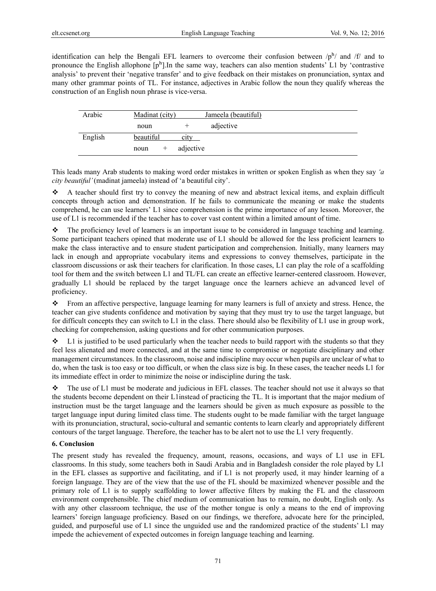identification can help the Bengali EFL learners to overcome their confusion between  $/p<sup>h</sup>/$  and  $f/$  and to pronounce the English allophone  $[p^h]$ . In the same way, teachers can also mention students' L1 by 'contrastive analysis' to prevent their 'negative transfer' and to give feedback on their mistakes on pronunciation, syntax and many other grammar points of TL. For instance, adjectives in Arabic follow the noun they qualify whereas the construction of an English noun phrase is vice-versa.

| Arabic  | Madinat (city) |                       | Jameela (beautiful) |  |
|---------|----------------|-----------------------|---------------------|--|
|         | noun           |                       | adjective           |  |
| English | beautiful      | <b>C<sub>1</sub>t</b> |                     |  |
|         | noun           | adjective             |                     |  |

This leads many Arab students to making word order mistakes in written or spoken English as when they say *'a city beautiful'* (madinat jameela) instead of 'a beautiful city'.

 $\triangle$  A teacher should first try to convey the meaning of new and abstract lexical items, and explain difficult concepts through action and demonstration. If he fails to communicate the meaning or make the students comprehend, he can use learners' L1 since comprehension is the prime importance of any lesson. Moreover, the use of L1 is recommended if the teacher has to cover vast content within a limited amount of time.

 $\bullet$  The proficiency level of learners is an important issue to be considered in language teaching and learning. Some participant teachers opined that moderate use of L1 should be allowed for the less proficient learners to make the class interactive and to ensure student participation and comprehension. Initially, many learners may lack in enough and appropriate vocabulary items and expressions to convey themselves, participate in the classroom discussions or ask their teachers for clarification. In those cases, L1 can play the role of a scaffolding tool for them and the switch between L1 and TL/FL can create an effective learner-centered classroom. However, gradually L1 should be replaced by the target language once the learners achieve an advanced level of proficiency.

 From an affective perspective, language learning for many learners is full of anxiety and stress. Hence, the teacher can give students confidence and motivation by saying that they must try to use the target language, but for difficult concepts they can switch to L1 in the class. There should also be flexibility of L1 use in group work, checking for comprehension, asking questions and for other communication purposes.

 $\bullet$  L1 is justified to be used particularly when the teacher needs to build rapport with the students so that they feel less alienated and more connected, and at the same time to compromise or negotiate disciplinary and other management circumstances. In the classroom, noise and indiscipline may occur when pupils are unclear of what to do, when the task is too easy or too difficult, or when the class size is big. In these cases, the teacher needs L1 for its immediate effect in order to minimize the noise or indiscipline during the task.

 The use of L1 must be moderate and judicious in EFL classes. The teacher should not use it always so that the students become dependent on their L1instead of practicing the TL. It is important that the major medium of instruction must be the target language and the learners should be given as much exposure as possible to the target language input during limited class time. The students ought to be made familiar with the target language with its pronunciation, structural, socio-cultural and semantic contents to learn clearly and appropriately different contours of the target language. Therefore, the teacher has to be alert not to use the L1 very frequently.

## **6. Conclusion**

The present study has revealed the frequency, amount, reasons, occasions, and ways of L1 use in EFL classrooms. In this study, some teachers both in Saudi Arabia and in Bangladesh consider the role played by L1 in the EFL classes as supportive and facilitating, and if L1 is not properly used, it may hinder learning of a foreign language. They are of the view that the use of the FL should be maximized whenever possible and the primary role of L1 is to supply scaffolding to lower affective filters by making the FL and the classroom environment comprehensible. The chief medium of communication has to remain, no doubt, English only. As with any other classroom technique, the use of the mother tongue is only a means to the end of improving learners' foreign language proficiency. Based on our findings, we therefore, advocate here for the principled, guided, and purposeful use of L1 since the unguided use and the randomized practice of the students' L1 may impede the achievement of expected outcomes in foreign language teaching and learning.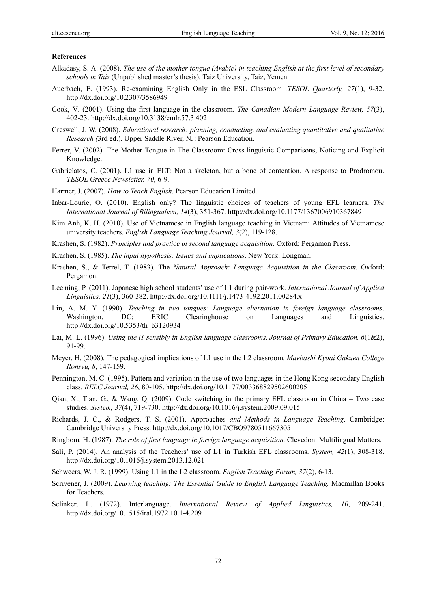#### **References**

- Alkadasy, S. A. (2008). *The use of the mother tongue (Arabic) in teaching English at the first level of secondary schools in Taiz* (Unpublished master's thesis). Taiz University, Taiz, Yemen.
- Auerbach, E. (1993). Re-examining English Only in the ESL Classroom *.TESOL Quarterly, 27*(1), 9-32. http://dx.doi.org/10.2307/3586949
- Cook, V. (2001). Using the first language in the classroom*. The Canadian Modern Language Review, 57*(3), 402-23. http://dx.doi.org/10.3138/cmlr.57.3.402
- Creswell, J. W. (2008). *Educational research: planning, conducting, and evaluating quantitative and qualitative Research (*3rd ed.). Upper Saddle River, NJ: Pearson Education.
- Ferrer, V. (2002). The Mother Tongue in The Classroom: Cross-linguistic Comparisons, Noticing and Explicit Knowledge.
- Gabrielatos, C. (2001). L1 use in ELT: Not a skeleton, but a bone of contention. A response to Prodromou. *TESOL Greece Newsletter, 70*, 6-9.
- Harmer, J. (2007). *How to Teach English*. Pearson Education Limited.
- Inbar-Lourie, O. (2010). English only? The linguistic choices of teachers of young EFL learners. *The International Journal of Bilingualism, 14*(3), 351-367. http://dx.doi.org/10.1177/1367006910367849
- Kim Anh, K. H. (2010). Use of Vietnamese in English language teaching in Vietnam: Attitudes of Vietnamese university teachers. *English Language Teaching Journal, 3*(2), 119-128.
- Krashen, S. (1982). *Principles and practice in second language acquisition.* Oxford: Pergamon Press.
- Krashen, S. (1985). *The input hypothesis: Issues and implications*. New York: Longman.
- Krashen, S., & Terrel, T. (1983). The *Natural Approach*: *Language Acquisition in the Classroom*. Oxford: Pergamon.
- Leeming, P. (2011). Japanese high school students' use of L1 during pair-work. *International Journal of Applied Linguistics, 21*(3), 360-382. http://dx.doi.org/10.1111/j.1473-4192.2011.00284.x
- Lin, A. M. Y. (1990). *Teaching in two tongues: Language alternation in foreign language classrooms*. Washington, DC: ERIC Clearinghouse on Languages and Linguistics. http://dx.doi.org/10.5353/th\_b3120934
- Lai, M. L. (1996). *Using the l1 sensibly in English language classrooms*. *Journal of Primary Education, 6*(1&2), 91-99.
- Meyer, H. (2008). The pedagogical implications of L1 use in the L2 classroom. *Maebashi Kyoai Gakuen College Ronsyu, 8*, 147-159.
- Pennington, M. C. (1995). Pattern and variation in the use of two languages in the Hong Kong secondary English class. *RELC Journal, 26*, 80-105. http://dx.doi.org/10.1177/003368829502600205
- Qian, X., Tian, G., & Wang, Q. (2009). Code switching in the primary EFL classroom in China Two case studies. *System, 37*(4), 719-730. http://dx.doi.org/10.1016/j.system.2009.09.015
- Richards, J. C., & Rodgers, T. S. (2001). Approaches *and Methods in Language Teaching*. Cambridge: Cambridge University Press. http://dx.doi.org/10.1017/CBO9780511667305
- Ringbom, H. (1987). *The role of first language in foreign language acquisition*. Clevedon: Multilingual Matters.
- Sali, P. (2014). An analysis of the Teachers' use of L1 in Turkish EFL classrooms. *System, 42*(1), 308-318. http://dx.doi.org/10.1016/j.system.2013.12.021
- Schweers, W. J. R. (1999). Using L1 in the L2 classroom. *English Teaching Forum, 37*(2), 6-13.
- Scrivener, J. (2009). *Learning teaching: The Essential Guide to English Language Teaching.* Macmillan Books for Teachers.
- Selinker, L. (1972). Interlanguage. *International Review of Applied Linguistics, 10*, 209-241. http://dx.doi.org/10.1515/iral.1972.10.1-4.209